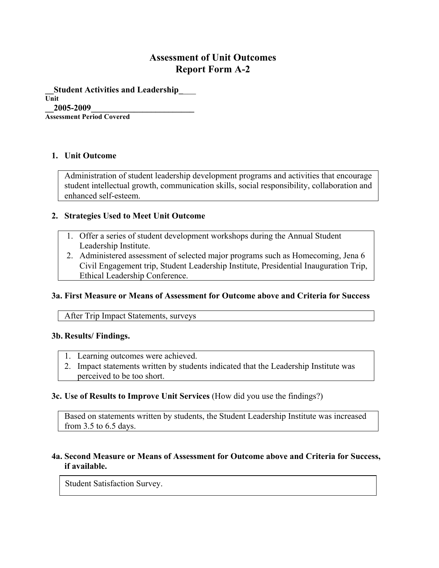# **Assessment of Unit Outcomes Report Form A-2**

**\_\_Student Activities and Leadership\_**\_\_\_ **Unit \_\_2005-2009\_\_\_\_\_\_\_\_\_\_\_\_\_\_\_\_\_\_\_\_\_\_\_\_ Assessment Period Covered**

#### **1. Unit Outcome**

Administration of student leadership development programs and activities that encourage student intellectual growth, communication skills, social responsibility, collaboration and enhanced self-esteem.

#### **2. Strategies Used to Meet Unit Outcome**

- 1. Offer a series of student development workshops during the Annual Student Leadership Institute.
- 2. Administered assessment of selected major programs such as Homecoming, Jena 6 Civil Engagement trip, Student Leadership Institute, Presidential Inauguration Trip, Ethical Leadership Conference.

#### **3a. First Measure or Means of Assessment for Outcome above and Criteria for Success**

After Trip Impact Statements, surveys

#### **3b. Results/ Findings.**

- 1. Learning outcomes were achieved.
- 2. Impact statements written by students indicated that the Leadership Institute was perceived to be too short.

#### **3c. Use of Results to Improve Unit Services** (How did you use the findings?)

Based on statements written by students, the Student Leadership Institute was increased from 3.5 to 6.5 days.

## **4a. Second Measure or Means of Assessment for Outcome above and Criteria for Success, if available.**

Student Satisfaction Survey.